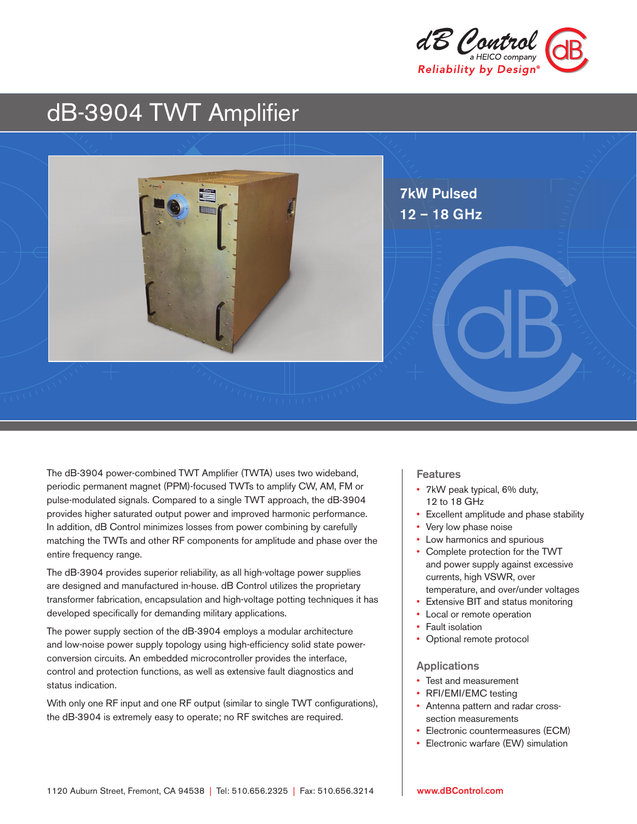

# dB-3904 TWT Amplifier



The dB-3904 power-combined TWT Amplifier (TWTA) uses two wideband, periodic permanent magnet (PPM)-focused TWTs to amplify CW, AM, FM or pulse-modulated signals. Compared to a single TWT approach, the dB-3904 provides higher saturated output power and improved harmonic performance. In addition, dB Control minimizes losses from power combining by carefully matching the TWTs and other RF components for amplitude and phase over the entire frequency range.

The dB-3904 provides superior reliability, as all high-voltage power supplies are designed and manufactured in-house. dB Control utilizes the proprietary transformer fabrication, encapsulation and high-voltage potting techniques it has developed specifically for demanding military applications.

The power supply section of the dB-3904 employs a modular architecture and low-noise power supply topology using high-efficiency solid state powerconversion circuits. An embedded microcontroller provides the interface, control and protection functions, as well as extensive fault diagnostics and status indication.

With only one RF input and one RF output (similar to single TWT configurations), the dB-3904 is extremely easy to operate; no RF switches are required.

### Features

- 7kW peak typical, 6% duty, 12 to 18 GHz
- Excellent amplitude and phase stability
- Very low phase noise
- Low harmonics and spurious
- Complete protection for the TWT and power supply against excessive currents, high VSWR, over temperature, and over/under voltages
- Extensive BIT and status monitoring
- Local or remote operation
- Fault isolation
- Optional remote protocol

#### Applications

- Test and measurement
- RFI/EMI/EMC testing
- Antenna pattern and radar crosssection measurements
- Electronic countermeasures (ECM)
- Electronic warfare (EW) simulation